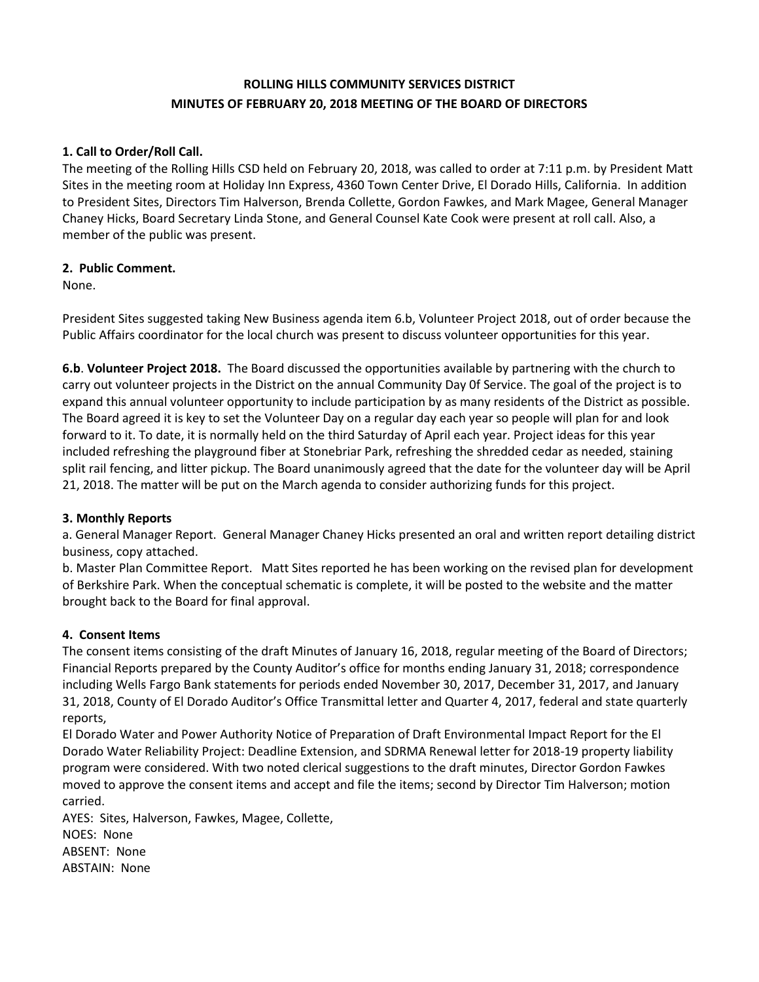# **ROLLING HILLS COMMUNITY SERVICES DISTRICT MINUTES OF FEBRUARY 20, 2018 MEETING OF THE BOARD OF DIRECTORS**

## **1. Call to Order/Roll Call.**

The meeting of the Rolling Hills CSD held on February 20, 2018, was called to order at 7:11 p.m. by President Matt Sites in the meeting room at Holiday Inn Express, 4360 Town Center Drive, El Dorado Hills, California. In addition to President Sites, Directors Tim Halverson, Brenda Collette, Gordon Fawkes, and Mark Magee, General Manager Chaney Hicks, Board Secretary Linda Stone, and General Counsel Kate Cook were present at roll call. Also, a member of the public was present.

### **2. Public Comment.**

None.

President Sites suggested taking New Business agenda item 6.b, Volunteer Project 2018, out of order because the Public Affairs coordinator for the local church was present to discuss volunteer opportunities for this year.

**6.b**. **Volunteer Project 2018.** The Board discussed the opportunities available by partnering with the church to carry out volunteer projects in the District on the annual Community Day 0f Service. The goal of the project is to expand this annual volunteer opportunity to include participation by as many residents of the District as possible. The Board agreed it is key to set the Volunteer Day on a regular day each year so people will plan for and look forward to it. To date, it is normally held on the third Saturday of April each year. Project ideas for this year included refreshing the playground fiber at Stonebriar Park, refreshing the shredded cedar as needed, staining split rail fencing, and litter pickup. The Board unanimously agreed that the date for the volunteer day will be April 21, 2018. The matter will be put on the March agenda to consider authorizing funds for this project.

### **3. Monthly Reports**

a. General Manager Report. General Manager Chaney Hicks presented an oral and written report detailing district business, copy attached.

b. Master Plan Committee Report. Matt Sites reported he has been working on the revised plan for development of Berkshire Park. When the conceptual schematic is complete, it will be posted to the website and the matter brought back to the Board for final approval.

## **4. Consent Items**

The consent items consisting of the draft Minutes of January 16, 2018, regular meeting of the Board of Directors; Financial Reports prepared by the County Auditor's office for months ending January 31, 2018; correspondence including Wells Fargo Bank statements for periods ended November 30, 2017, December 31, 2017, and January 31, 2018, County of El Dorado Auditor's Office Transmittal letter and Quarter 4, 2017, federal and state quarterly reports,

El Dorado Water and Power Authority Notice of Preparation of Draft Environmental Impact Report for the El Dorado Water Reliability Project: Deadline Extension, and SDRMA Renewal letter for 2018-19 property liability program were considered. With two noted clerical suggestions to the draft minutes, Director Gordon Fawkes moved to approve the consent items and accept and file the items; second by Director Tim Halverson; motion carried.

AYES: Sites, Halverson, Fawkes, Magee, Collette, NOES: None ABSENT: None ABSTAIN: None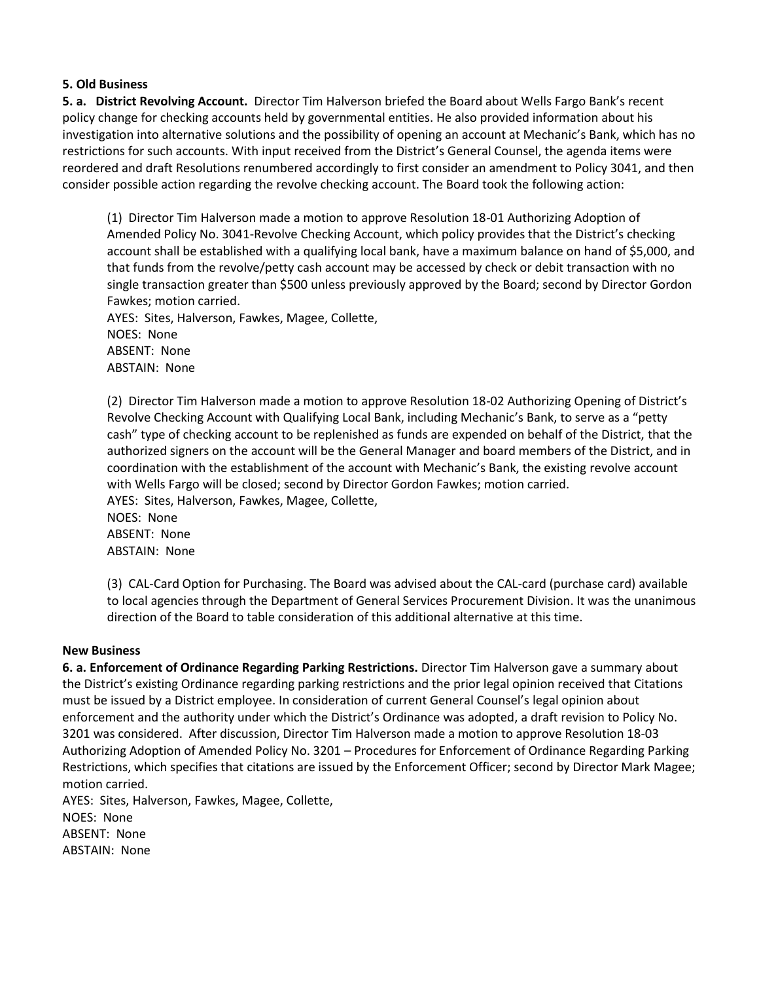#### **5. Old Business**

**5. a. District Revolving Account.** Director Tim Halverson briefed the Board about Wells Fargo Bank's recent policy change for checking accounts held by governmental entities. He also provided information about his investigation into alternative solutions and the possibility of opening an account at Mechanic's Bank, which has no restrictions for such accounts. With input received from the District's General Counsel, the agenda items were reordered and draft Resolutions renumbered accordingly to first consider an amendment to Policy 3041, and then consider possible action regarding the revolve checking account. The Board took the following action:

(1) Director Tim Halverson made a motion to approve Resolution 18-01 Authorizing Adoption of Amended Policy No. 3041-Revolve Checking Account, which policy provides that the District's checking account shall be established with a qualifying local bank, have a maximum balance on hand of \$5,000, and that funds from the revolve/petty cash account may be accessed by check or debit transaction with no single transaction greater than \$500 unless previously approved by the Board; second by Director Gordon Fawkes; motion carried.

AYES: Sites, Halverson, Fawkes, Magee, Collette, NOES: None

ABSENT: None ABSTAIN: None

(2) Director Tim Halverson made a motion to approve Resolution 18-02 Authorizing Opening of District's Revolve Checking Account with Qualifying Local Bank, including Mechanic's Bank, to serve as a "petty cash" type of checking account to be replenished as funds are expended on behalf of the District, that the authorized signers on the account will be the General Manager and board members of the District, and in coordination with the establishment of the account with Mechanic's Bank, the existing revolve account with Wells Fargo will be closed; second by Director Gordon Fawkes; motion carried. AYES: Sites, Halverson, Fawkes, Magee, Collette,

NOES: None ABSENT: None ABSTAIN: None

(3) CAL-Card Option for Purchasing. The Board was advised about the CAL-card (purchase card) available to local agencies through the Department of General Services Procurement Division. It was the unanimous direction of the Board to table consideration of this additional alternative at this time.

#### **New Business**

**6. a. Enforcement of Ordinance Regarding Parking Restrictions.** Director Tim Halverson gave a summary about the District's existing Ordinance regarding parking restrictions and the prior legal opinion received that Citations must be issued by a District employee. In consideration of current General Counsel's legal opinion about enforcement and the authority under which the District's Ordinance was adopted, a draft revision to Policy No. 3201 was considered. After discussion, Director Tim Halverson made a motion to approve Resolution 18-03 Authorizing Adoption of Amended Policy No. 3201 – Procedures for Enforcement of Ordinance Regarding Parking Restrictions, which specifies that citations are issued by the Enforcement Officer; second by Director Mark Magee; motion carried.

AYES: Sites, Halverson, Fawkes, Magee, Collette, NOES: None ABSENT: None ABSTAIN: None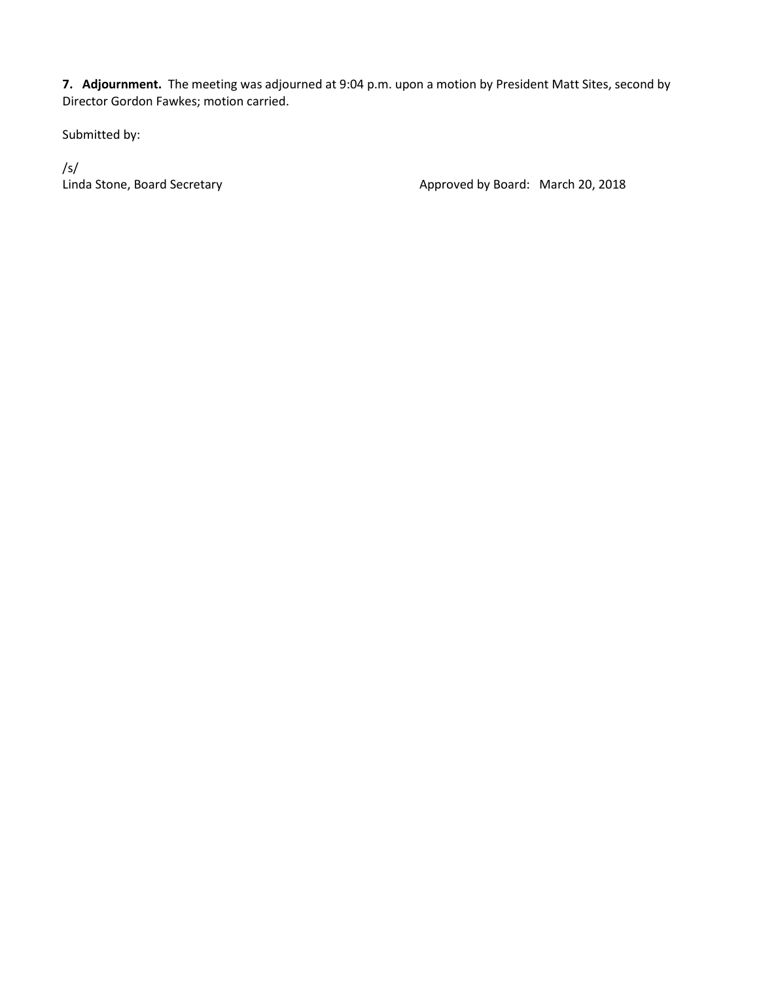**7. Adjournment.** The meeting was adjourned at 9:04 p.m. upon a motion by President Matt Sites, second by Director Gordon Fawkes; motion carried.

Submitted by:

/s/

Linda Stone, Board Secretary **Approved by Board: March 20, 2018**